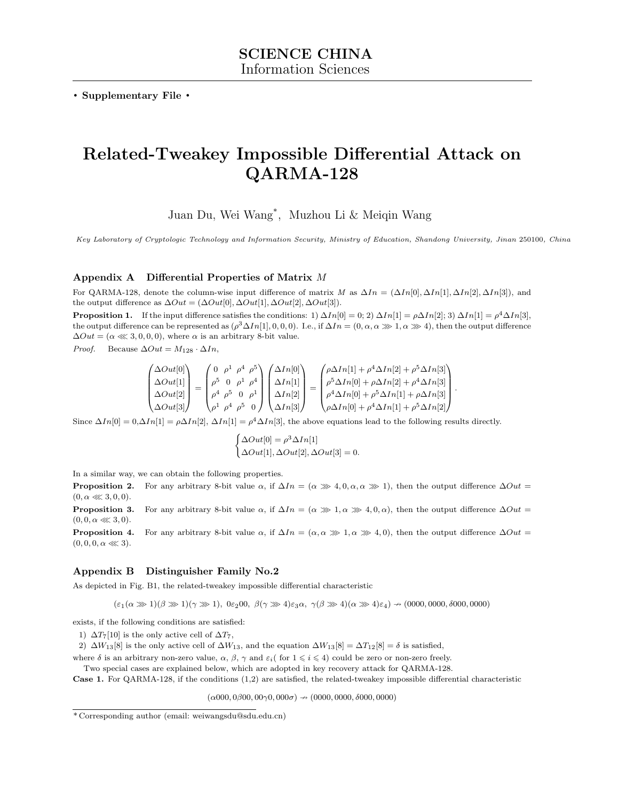. Supplementary File .

# Related-Tweakey Impossible Differential Attack on QARMA-128

Juan Du, Wei Wang\* , Muzhou Li & Meiqin Wang

Key Laboratory of Cryptologic Technology and Information Security, Ministry of Education, Shandong University, Jinan 250100, China

## <span id="page-0-2"></span>Appendix A Differential Properties of Matrix M

For QARMA-128, denote the column-wise input difference of matrix M as  $\Delta In = (\Delta In[0], \Delta In[1], \Delta In[2], \Delta In[3])$ , and the output difference as  $\Delta Out = (\Delta Out[0], \Delta Out[1], \Delta Out[2], \Delta Out[3]).$ 

<span id="page-0-1"></span>**Proposition 1.** If the input difference satisfies the conditions: 1)  $\Delta In[0] = 0; 2$   $\Delta In[1] = \rho \Delta In[2]$ ; 3)  $\Delta In[1] = \rho^4 \Delta In[3]$ , the output difference can be represented as  $(\rho^3 \Delta In[1], 0, 0, 0)$ . I.e., if  $\Delta In = (0, \alpha, \alpha \gg 1, \alpha \gg 4)$ , then the output difference  $\Delta Out = (\alpha \ll 3, 0, 0, 0)$ , where  $\alpha$  is an arbitrary 8-bit value.

*Proof.* Because  $\Delta Out = M_{128} \cdot \Delta In$ ,

$$
\begin{pmatrix}\n\Delta Out[0] \\
\Delta Out[1] \\
\Delta Out[2] \\
\Delta Out[3]\n\end{pmatrix} = \begin{pmatrix}\n0 & \rho^1 & \rho^4 & \rho^5 \\
\rho^5 & 0 & \rho^1 & \rho^4 \\
\rho^4 & \rho^5 & 0 & \rho^1 \\
\rho^1 & \rho^4 & \rho^5 & 0\n\end{pmatrix} \begin{pmatrix}\n\Delta In[0] \\
\Delta In[1] \\
\Delta In[2] \\
\Delta In[2]\n\end{pmatrix} = \begin{pmatrix}\n\rho \Delta In[1] + \rho^4 \Delta In[2] + \rho^5 \Delta In[3] \\
\rho^5 \Delta In[0] + \rho \Delta In[2] + \rho^4 \Delta In[3] \\
\rho^4 \Delta In[0] + \rho^5 \Delta In[1] + \rho \Delta In[3]\n\end{pmatrix}.
$$

Since  $\Delta In[0] = 0, \Delta In[1] = \rho \Delta In[2], \Delta In[1] = \rho^4 \Delta In[3],$  the above equations lead to the following results directly.

$$
\begin{cases} \Delta Out[0] = \rho^3 \Delta In[1] \\ \Delta Out[1], \Delta Out[2], \Delta Out[3] = 0. \end{cases}
$$

In a similar way, we can obtain the following properties.

<span id="page-0-3"></span>**Proposition 2.** For any arbitrary 8-bit value  $\alpha$ , if  $\Delta In = (\alpha \gg 4, 0, \alpha, \alpha \gg 1)$ , then the output difference  $\Delta Out =$  $(0, \alpha \ll 3, 0, 0).$ 

**Proposition 3.** For any arbitrary 8-bit value  $\alpha$ , if  $\Delta In = (\alpha \gg 1, \alpha \gg 4, 0, \alpha)$ , then the output difference  $\Delta Out =$  $(0, 0, \alpha \ll 3, 0).$ 

<span id="page-0-4"></span>**Proposition 4.** For any arbitrary 8-bit value  $\alpha$ , if  $\Delta In = (\alpha, \alpha \gg 1, \alpha \gg 4, 0)$ , then the output difference  $\Delta Out =$  $(0, 0, 0, \alpha \ll 3).$ 

## <span id="page-0-0"></span>Appendix B Distinguisher Family No.2

As depicted in Fig. [B1,](#page-1-0) the related-tweakey impossible differential characteristic

 $(\varepsilon_1(\alpha\ggg1)(\beta\ggg1)(\gamma\ggg1),\ 0\varepsilon_200,\ \beta(\gamma\ggg4)\varepsilon_3\alpha,\ \gamma(\beta\ggg4)(\alpha\ggg4)\varepsilon_4) \nrightarrow (0000,0000, \delta000,0000)$ 

exists, if the following conditions are satisfied:

1)  $\Delta T_7[10]$  is the only active cell of  $\Delta T_7$ ,

2)  $\Delta W_{13}[8]$  is the only active cell of  $\Delta W_{13}$ , and the equation  $\Delta W_{13}[8] = \Delta T_{12}[8] = \delta$  is satisfied,

where  $\delta$  is an arbitrary non-zero value,  $\alpha$ ,  $\beta$ ,  $\gamma$  and  $\varepsilon_i$  (for  $1 \leq i \leq 4$ ) could be zero or non-zero freely.

Two special cases are explained below, which are adopted in key recovery attack for QARMA-128.

Case 1. For QARMA-128, if the conditions (1,2) are satisfied, the related-tweakey impossible differential characteristic

 $(\alpha 000, 0\beta 00, 00\gamma 0, 000\sigma) \rightarrow (0000, 0000, \delta 000, 0000)$ 

<sup>\*</sup> Corresponding author (email: weiwangsdu@sdu.edu.cn)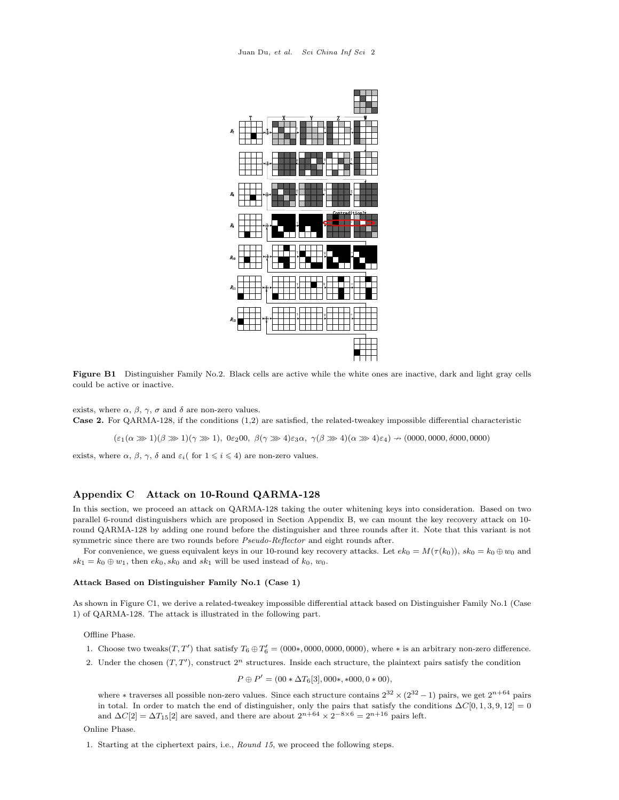<span id="page-1-0"></span>

Figure B1 Distinguisher Family No.2. Black cells are active while the white ones are inactive, dark and light gray cells could be active or inactive.

exists, where  $\alpha$ ,  $\beta$ ,  $\gamma$ ,  $\sigma$  and  $\delta$  are non-zero values. Case 2. For QARMA-128, if the conditions (1,2) are satisfied, the related-tweakey impossible differential characteristic

 $(\varepsilon_1(\alpha \gg 1)(\beta \gg 1)(\gamma \gg 1), 0\varepsilon_200, \beta(\gamma \gg 4)\varepsilon_3\alpha, \gamma(\beta \gg 4)(\alpha \gg 4)\varepsilon_4) \rightarrow (0000, 0000, 0000, 0000)$ 

exists, where  $\alpha$ ,  $\beta$ ,  $\gamma$ ,  $\delta$  and  $\varepsilon_i$  for  $1 \leq i \leq 4$ ) are non-zero values.

## <span id="page-1-2"></span>Appendix C Attack on 10-Round QARMA-128

In this section, we proceed an attack on QARMA-128 taking the outer whitening keys into consideration. Based on two parallel 6-round distinguishers which are proposed in Section [Appendix B,](#page-0-0) we can mount the key recovery attack on 10 round QARMA-128 by adding one round before the distinguisher and three rounds after it. Note that this variant is not symmetric since there are two rounds before Pseudo-Reflector and eight rounds after.

For convenience, we guess equivalent keys in our 10-round key recovery attacks. Let  $ek_0 = M(\tau(k_0))$ ,  $sk_0 = k_0 \oplus w_0$  and  $sk_1 = k_0 \oplus w_1$ , then  $ek_0, sk_0$  and  $sk_1$  will be used instead of  $k_0, w_0$ .

#### Attack Based on Distinguisher Family No.1 (Case 1)

As shown in Figure [C1,](#page-2-0) we derive a related-tweakey impossible differential attack based on Distinguisher Family No.1 (Case 1) of QARMA-128. The attack is illustrated in the following part.

Offline Phase.

- 1. Choose two tweaks $(T, T')$  that satisfy  $T_6 \oplus T'_6 = (000*, 0000, 0000, 0000)$ , where  $*$  is an arbitrary non-zero difference.
- 2. Under the chosen  $(T, T')$ , construct  $2^n$  structures. Inside each structure, the plaintext pairs satisfy the condition

$$
\Theta P' = (00 * \Delta T_6[3], 000*, *000, 0 * 00),
$$

where  $*$  traverses all possible non-zero values. Since each structure contains  $2^{32} \times (2^{32} - 1)$  pairs, we get  $2^{n+64}$  pairs in total. In order to match the end of distinguisher, only the pairs that satisfy the conditions  $\Delta C[0, 1, 3, 9, 12] = 0$ and  $\Delta C[2] = \Delta T_{15}[2]$  are saved, and there are about  $2^{n+64} \times 2^{-8 \times 6} = 2^{n+16}$  pairs left.

<span id="page-1-1"></span>Online Phase.

1. Starting at the ciphertext pairs, i.e., Round 15, we proceed the following steps.

 $\overline{P}$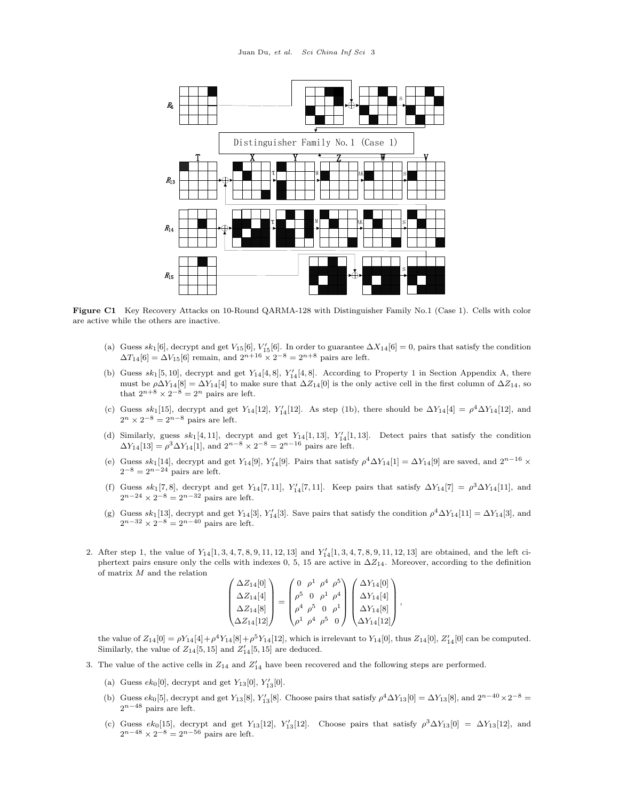<span id="page-2-0"></span>

Figure C1 Key Recovery Attacks on 10-Round QARMA-128 with Distinguisher Family No.1 (Case 1). Cells with color are active while the others are inactive.

- (a) Guess  $sk_1[6]$ , decrypt and get  $V_{15}[6]$ ,  $V'_{15}[6]$ . In order to guarantee  $\Delta X_{14}[6] = 0$ , pairs that satisfy the condition  $\Delta T_{14}[6]=\Delta V_{15}[6]$  remain, and  $2^{n+16}\times 2^{-8}=2^{n+8}$  pairs are left.
- <span id="page-2-1"></span>(b) Guess  $sk_1[5, 10]$  $sk_1[5, 10]$  $sk_1[5, 10]$ , decrypt and get  $Y_{14}[4, 8]$ ,  $Y'_{14}[4, 8]$ . According to Property 1 in Section [Appendix A,](#page-0-2) there must be  $\rho \Delta Y_{14}[8] = \Delta Y_{14}[4]$  to make sure that  $\Delta Z_{14}[0]$  is the only active cell in the first column of  $\Delta Z_{14}$ , so that  $2^{n+8} \times 2^{-8} = 2^n$  pairs are left.
- (c) Guess  $sk_1[15]$ , decrypt and get  $Y_{14}[12]$ ,  $Y'_{14}[12]$ . As step [\(1b\)](#page-2-1), there should be  $\Delta Y_{14}[4] = \rho^4 \Delta Y_{14}[12]$ , and  $2^n \times 2^{-8} = 2^{n-8}$  pairs are left.
- (d) Similarly, guess  $sk_1[4, 11]$ , decrypt and get  $Y_{14}[1, 13]$ ,  $Y'_{14}[1, 13]$ . Detect pairs that satisfy the condition  $\Delta Y_{14}[13] = \rho^3 \Delta Y_{14}[1]$ , and  $2^{n-8} \times 2^{-8} = 2^{n-16}$  pairs are left.
- (e) Guess  $sk_1[14]$ , decrypt and get  $Y_{14}[9]$ ,  $Y'_{14}[9]$ . Pairs that satisfy  $\rho^4 \Delta Y_{14}[1] = \Delta Y_{14}[9]$  are saved, and  $2^{n-16} \times$  $2^{-8} = 2^{n-24}$  pairs are left.
- (f) Guess  $sk_1[7,8]$ , decrypt and get  $Y_{14}[7,11]$ ,  $Y'_{14}[7,11]$ . Keep pairs that satisfy  $\Delta Y_{14}[7] = \rho^3 \Delta Y_{14}[11]$ , and  $2^{n-24} \times 2^{-8} = 2^{n-32}$  pairs are left.
- (g) Guess  $sk_1[13]$ , decrypt and get  $Y_{14}[3]$ ,  $Y'_{14}[3]$ . Save pairs that satisfy the condition  $\rho^4 \Delta Y_{14}[11] = \Delta Y_{14}[3]$ , and  $2^{n-32} \times 2^{-8} = 2^{n-40}$  pairs are left.
- 2. After step [1,](#page-1-1) the value of  $Y_{14}[1, 3, 4, 7, 8, 9, 11, 12, 13]$  and  $Y'_{14}[1, 3, 4, 7, 8, 9, 11, 12, 13]$  are obtained, and the left ciphertext pairs ensure only the cells with indexes 0, 5, 15 are active in  $\Delta Z_{14}$ . Moreover, according to the definition of matrix  $M$  and the relation

$$
\begin{pmatrix}\n\Delta Z_{14}[0] \\
\Delta Z_{14}[4] \\
\Delta Z_{14}[8] \\
\Delta Z_{14}[12]\n\end{pmatrix} = \begin{pmatrix}\n0 & \rho^1 & \rho^4 & \rho^5 \\
\rho^5 & 0 & \rho^1 & \rho^4 \\
\rho^4 & \rho^5 & 0 & \rho^1 \\
\rho^1 & \rho^4 & \rho^5 & 0\n\end{pmatrix} \begin{pmatrix}\n\Delta Y_{14}[0] \\
\Delta Y_{14}[4] \\
\Delta Y_{14}[8] \\
\Delta Y_{14}[12]\n\end{pmatrix},
$$

the value of  $Z_{14}[0] = \rho Y_{14}[4] + \rho^4 Y_{14}[8] + \rho^5 Y_{14}[12]$ , which is irrelevant to  $Y_{14}[0]$ , thus  $Z_{14}[0]$ ,  $Z'_{14}[0]$  can be computed. Similarly, the value of  $Z_{14}[5, 15]$  and  $Z'_{14}[5, 15]$  are deduced.

- <span id="page-2-2"></span>3. The value of the active cells in  $Z_{14}$  and  $Z'_{14}$  have been recovered and the following steps are performed.
	- (a) Guess  $ek_0[0]$ , decrypt and get  $Y_{13}[0]$ ,  $Y'_{13}[0]$ .
	- (b) Guess  $ek_0[5]$ , decrypt and get  $Y_{13}[8]$ ,  $Y'_{13}[8]$ . Choose pairs that satisfy  $\rho^4 \Delta Y_{13}[0] = \Delta Y_{13}[8]$ , and  $2^{n-40} \times 2^{-8} =$  $2^{n-48}$  pairs are left.
	- (c) Guess  $ek_0[15]$ , decrypt and get Y<sub>13</sub>[12], Y'<sub>13</sub>[12]. Choose pairs that satisfy  $\rho^3 \Delta Y_{13}[0] = \Delta Y_{13}[12]$ , and  $2^{n-48} \times 2^{-8} = 2^{n-56}$  pairs are left.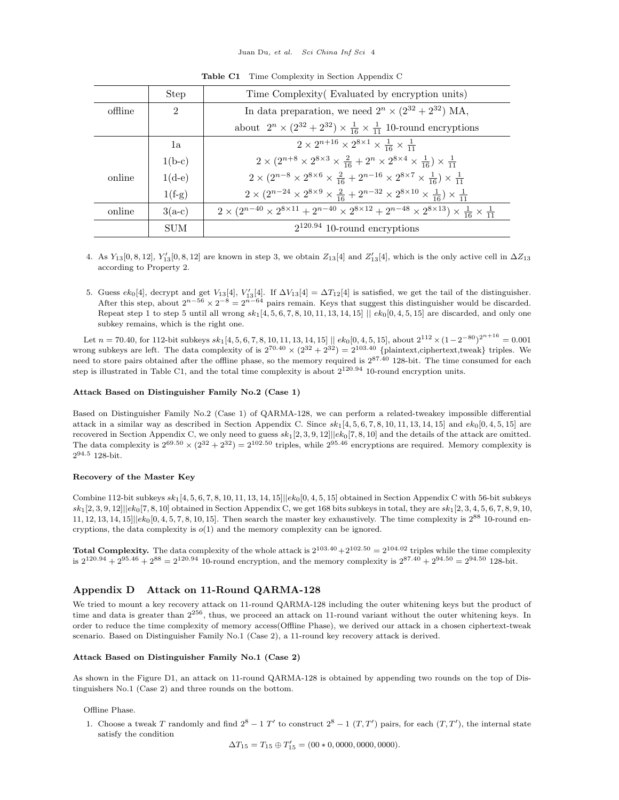<span id="page-3-1"></span>

|         | <b>Step</b> | Time Complexity Evaluated by encryption units)                                                                                                           |
|---------|-------------|----------------------------------------------------------------------------------------------------------------------------------------------------------|
| offline | 2           | In data preparation, we need $2^n \times (2^{32} + 2^{32})$ MA,                                                                                          |
|         |             | about $2^n \times (2^{32} + 2^{32}) \times \frac{1}{16} \times \frac{1}{11}$ 10-round encryptions                                                        |
|         | 1a          | $2 \times 2^{n+16} \times 2^{8 \times 1} \times \frac{1}{16} \times \frac{1}{11}$                                                                        |
|         | $1(b-c)$    | $2 \times (2^{n+8} \times 2^{8 \times 3} \times \frac{2}{16} + 2^n \times 2^{8 \times 4} \times \frac{1}{16}) \times \frac{1}{11}$                       |
| online  | $1(d-e)$    | $2 \times (2^{n-8} \times 2^{8 \times 6} \times \frac{2}{16} + 2^{n-16} \times 2^{8 \times 7} \times \frac{1}{16}) \times \frac{1}{11}$                  |
|         | $1(f-g)$    | $2 \times (2^{n-24} \times 2^{8 \times 9} \times \frac{2}{16} + 2^{n-32} \times 2^{8 \times 10} \times \frac{1}{16}) \times \frac{1}{11}$                |
| online  | $3(a-c)$    | $2 \times (2^{n-40} \times 2^{8 \times 11} + 2^{n-40} \times 2^{8 \times 12} + 2^{n-48} \times 2^{8 \times 13}) \times \frac{1}{16} \times \frac{1}{11}$ |
|         | <b>SUM</b>  | $2^{120.94}$ 10-round encryptions                                                                                                                        |
|         |             |                                                                                                                                                          |

Table C1 Time Complexity in Section [Appendix C](#page-1-2)

- 4. As  $Y_{13}[0, 8, 12]$ ,  $Y'_{13}[0, 8, 12]$  are known in step [3,](#page-2-2) we obtain  $Z_{13}[4]$  and  $Z'_{13}[4]$ , which is the only active cell in  $\Delta Z_{13}$ according to Property [2.](#page-0-3)
- <span id="page-3-0"></span>5. Guess  $ek_0[4]$ , decrypt and get  $V_{13}[4]$ ,  $V'_{13}[4]$ . If  $\Delta V_{13}[4] = \Delta T_{12}[4]$  is satisfied, we get the tail of the distinguisher. After this step, about  $2^{n-56} \times 2^{-8} = 2^{n-64}$  pairs remain. Keys that suggest this distinguisher would be discarded. Repeat step [1](#page-1-1) to step [5](#page-3-0) until all wrong  $sk_1[4, 5, 6, 7, 8, 10, 11, 13, 14, 15] || ek_0[0, 4, 5, 15]$  are discarded, and only one subkey remains, which is the right one.

Let  $n = 70.40$ , for 112-bit subkeys  $sk_1[4, 5, 6, 7, 8, 10, 11, 13, 14, 15] \parallel kk_0[0, 4, 5, 15]$ , about  $2^{112} \times (1 - 2^{-80})^{2^{n+16}} = 0.001$ wrong subkeys are left. The data complexity of is  $2^{70.40} \times (2^{32} + 2^{32}) = 2^{103.40}$  {plaintext,ciphertext,tweak} triples. We need to store pairs obtained after the offline phase, so the memory required is  $2^{87.40}$  128-bit. The time consumed for each step is illustrated in Table [C1,](#page-3-1) and the total time complexity is about  $2^{120.94}$  10-round encryption units.

#### Attack Based on Distinguisher Family No.2 (Case 1)

Based on Distinguisher Family No.2 (Case 1) of QARMA-128, we can perform a related-tweakey impossible differential attack in a similar way as described in Section [Appendix C.](#page-1-2) Since  $sk_1[4, 5, 6, 7, 8, 10, 11, 13, 14, 15]$  and  $ek_0[0, 4, 5, 15]$  are recovered in Section [Appendix C,](#page-1-2) we only need to guess  $sk_1[2, 3, 9, 12] \leq k_0[7, 8, 10]$  and the details of the attack are omitted. The data complexity is  $2^{69.50} \times (2^{32} + 2^{32}) = 2^{102.50}$  triples, while  $2^{95.46}$  encryptions are required. Memory complexity is 2 <sup>94</sup>.<sup>5</sup> 128-bit.

#### Recovery of the Master Key

Combine 112-bit subkeys  $sk_1[4, 5, 6, 7, 8, 10, 11, 13, 14, 15]||ek_0[0, 4, 5, 15]$  obtained in Section [Appendix C](#page-1-2) with 56-bit subkeys  $sk_1[2, 3, 9, 12]||ek_0[7, 8, 10]$  obtained in Section [Appendix C,](#page-3-1) we get 168 bits subkeys in total, they are  $sk_1[2, 3, 4, 5, 6, 7, 8, 9, 10]$ 11, 12, 13, 14, 15 $||e k_0[0, 4, 5, 7, 8, 10, 15]$ . Then search the master key exhaustively. The time complexity is  $2^{88}$  10-round encryptions, the data complexity is  $o(1)$  and the memory complexity can be ignored.

**Total Complexity.** The data complexity of the whole attack is  $2^{103.40} + 2^{102.50} = 2^{104.02}$  triples while the time complexity is  $2^{120.94} + 2^{95.46} + 2^{88} = 2^{120.94}$  10-round encryption, and the memory complexity is  $2^{87.40} + 2^{94.50} = 2^{94.50}$  128-bit.

## <span id="page-3-2"></span>Appendix D Attack on 11-Round QARMA-128

We tried to mount a key recovery attack on 11-round QARMA-128 including the outer whitening keys but the product of time and data is greater than  $2^{256}$ , thus, we proceed an attack on 11-round variant without the outer whitening keys. In order to reduce the time complexity of memory access(Offline Phase), we derived our attack in a chosen ciphertext-tweak scenario. Based on Distinguisher Family No.1 (Case 2), a 11-round key recovery attack is derived.

#### Attack Based on Distinguisher Family No.1 (Case 2)

As shown in the Figure [D1,](#page-4-0) an attack on 11-round QARMA-128 is obtained by appending two rounds on the top of Distinguishers No.1 (Case 2) and three rounds on the bottom.

Offline Phase.

1. Choose a tweak T randomly and find  $2^8 - 1$  T' to construct  $2^8 - 1$  (T, T') pairs, for each (T, T'), the internal state satisfy the condition

 $\Delta T_{15} = T_{15} \oplus T'_{15} = (00 * 0, 0000, 0000, 0000).$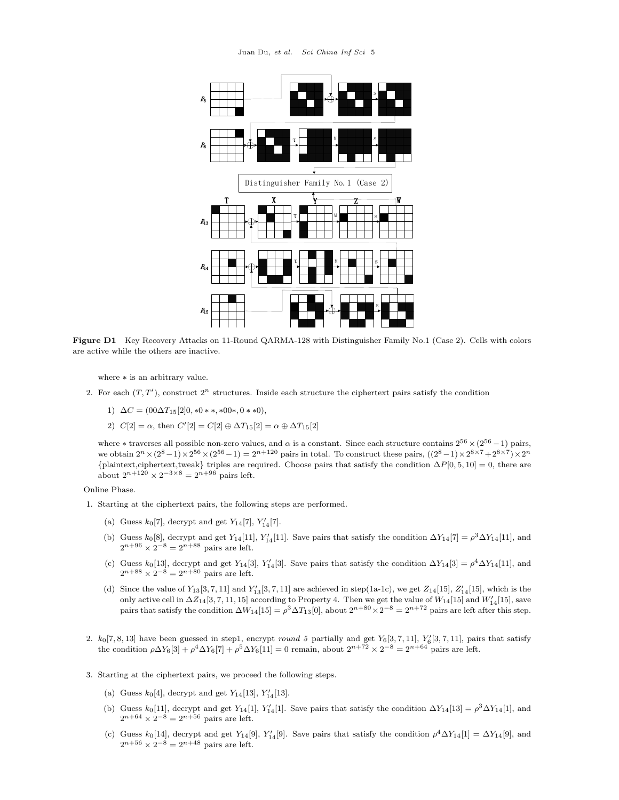<span id="page-4-0"></span>

Figure D1 Key Recovery Attacks on 11-Round QARMA-128 with Distinguisher Family No.1 (Case 2). Cells with colors are active while the others are inactive.

where ∗ is an arbitrary value.

- 2. For each  $(T, T')$ , construct  $2^n$  structures. Inside each structure the ciphertext pairs satisfy the condition
	- 1)  $\Delta C = (00\Delta T_{15}[2]0, *0**, *00*, 0**0),$
	- 2)  $C[2] = \alpha$ , then  $C'[2] = C[2] \oplus \Delta T_{15}[2] = \alpha \oplus \Delta T_{15}[2]$

where  $*$  traverses all possible non-zero values, and  $\alpha$  is a constant. Since each structure contains  $2^{56} \times (2^{56} - 1)$  pairs, we obtain  $2^n \times (2^8 - 1) \times 2^{56} \times (2^{56} - 1) = 2^{n+120}$  pairs in total. To construct these pairs,  $((2^8 - 1) \times 2^{8 \times 7} + 2^{8 \times 7}) \times 2^n$ {plaintext,ciphertext,tweak} triples are required. Choose pairs that satisfy the condition  $\Delta P[0, 5, 10] = 0$ , there are about  $2^{n+120} \times 2^{-3 \times 8} = 2^{n+96}$  pairs left.

<span id="page-4-3"></span>Online Phase.

- <span id="page-4-2"></span><span id="page-4-1"></span>1. Starting at the ciphertext pairs, the following steps are performed.
	- (a) Guess  $k_0[7]$ , decrypt and get  $Y_{14}[7]$ ,  $Y'_{14}[7]$ .
	- (b) Guess  $k_0[8]$ , decrypt and get  $Y_{14}[11]$ ,  $Y'_{14}[11]$ . Save pairs that satisfy the condition  $\Delta Y_{14}[7] = \rho^3 \Delta Y_{14}[11]$ , and  $2^{n+96} \times 2^{-8} = 2^{n+88}$  pairs are left.
	- (c) Guess k<sub>0</sub>[13], decrypt and get Y<sub>14</sub>[3], Y<sub>14</sub>[3]. Save pairs that satisfy the condition  $\Delta Y_{14}[3] = \rho^4 \Delta Y_{14}[11]$ , and  $2^{n+88} \times 2^{-8} = 2^{n+80}$  pairs are left.
	- (d) Since the value of  $Y_{13}[3, 7, 11]$  and  $Y'_{13}[3, 7, 11]$  are achieved in step[\(1a-](#page-4-1)[1c\)](#page-4-2), we get  $Z_{14}[15]$ ,  $Z'_{14}[15]$ , which is the only active cell in  $\Delta Z_{14}[3, 7, 11, 15]$  according to Property [4.](#page-0-4) Then we get the value of  $W_{14}[15]$  and  $W'_{14}[15]$ , save pairs that satisfy the condition  $\Delta W_{14}[15] = \rho^3 \Delta T_{13}[0]$ , about  $2^{n+80} \times 2^{-8} = 2^{n+72}$  pairs are left after this step.
- <span id="page-4-8"></span><span id="page-4-7"></span>2.  $k_0[7, 8, 13]$  have been guessed in ste[p1,](#page-4-3) encrypt round 5 partially and get  $Y_6[3, 7, 11]$ ,  $Y'_6[3, 7, 11]$ , pairs that satisfy the condition  $\rho \Delta Y_6[3] + \rho^4 \Delta Y_6[7] + \rho^5 \Delta Y_6[11] = 0$  remain, about  $2^{n+72} \times 2^{-8} = 2^{n+64}$  pairs are left.
- <span id="page-4-6"></span><span id="page-4-5"></span><span id="page-4-4"></span>3. Starting at the ciphertext pairs, we proceed the following steps.
	- (a) Guess  $k_0[4]$ , decrypt and get  $Y_{14}[13]$ ,  $Y'_{14}[13]$ .
	- (b) Guess  $k_0[11]$ , decrypt and get  $Y_{14}[1]$ ,  $Y'_{14}[1]$ . Save pairs that satisfy the condition  $\Delta Y_{14}[13] = \rho^3 \Delta Y_{14}[1]$ , and  $2^{n+64} \times 2^{-8} = 2^{n+56}$  pairs are left.
	- (c) Guess  $k_0[14]$ , decrypt and get  $Y_{14}[9]$ ,  $Y'_{14}[9]$ . Save pairs that satisfy the condition  $\rho^4 \Delta Y_{14}[1] = \Delta Y_{14}[9]$ , and  $2^{n+56} \times 2^{-8} = 2^{n+48}$  pairs are left.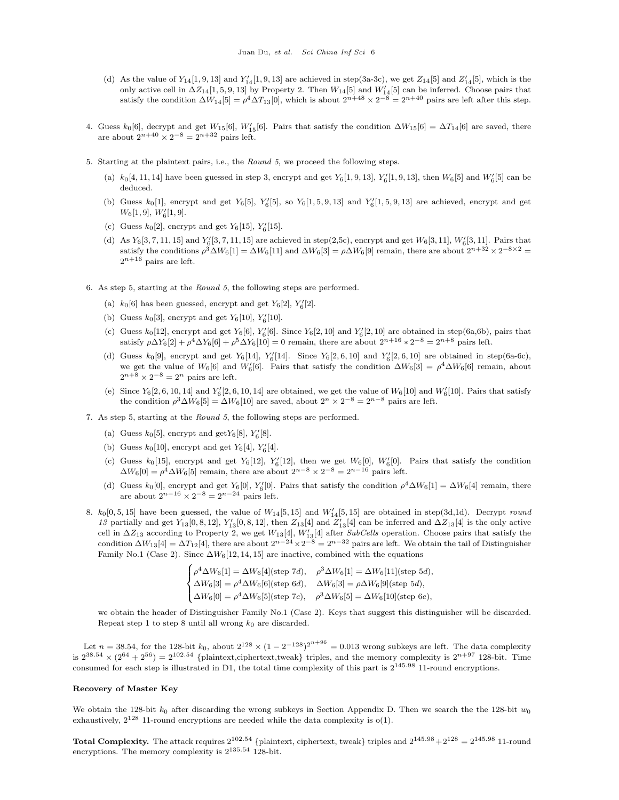- <span id="page-5-5"></span>(d) As the value of  $Y_{14}[1, 9, 13]$  and  $Y'_{14}[1, 9, 13]$  are achieved in step[\(3a-](#page-4-4)[3c\)](#page-4-5), we get  $Z_{14}[5]$  and  $Z'_{14}[5]$ , which is the only active cell in  $\Delta Z_{14}[1, 5, 9, 13]$  by Property [2.](#page-0-3) Then  $W_{14}[5]$  and  $W'_{14}[5]$  can be inferred. Choose pairs that satisfy the condition  $\Delta W_{14}[5] = \rho^4 \Delta T_{13}[0]$ , which is about  $2^{n+48} \times 2^{-8} = 2^{n+40}$  pairs are left after this step.
- 4. Guess  $k_0[6]$ , decrypt and get  $W_{15}[6]$ ,  $W'_{15}[6]$ . Pairs that satisfy the condition  $\Delta W_{15}[6] = \Delta T_{14}[6]$  are saved, there are about  $2^{n+40} \times 2^{-8} = 2^{n+32}$  pairs left.
- <span id="page-5-1"></span><span id="page-5-0"></span>5. Starting at the plaintext pairs, i.e., the Round 5, we proceed the following steps.
	- (a)  $k_0[4, 11, 14]$  have been guessed in step [3,](#page-4-6) encrypt and get  $Y_6[1, 9, 13]$ ,  $Y'_6[1, 9, 13]$ , then  $W'_6[5]$  and  $W'_6[5]$  can be deduced.
	- (b) Guess  $k_0[1]$ , encrypt and get  $Y_6[5]$ ,  $Y'_6[5]$ , so  $Y_6[1, 5, 9, 13]$  and  $Y'_6[1, 5, 9, 13]$  are achieved, encrypt and get  $W_6[1,9], W'_6[1,9].$
	- (c) Guess  $k_0[2]$ , encrypt and get  $Y_6[15]$ ,  $Y'_6[15]$ .
	- (d) As  $Y_6[3, 7, 11, 15]$  and  $Y'_6[3, 7, 11, 15]$  are achieved in step[\(2,](#page-4-7)[5c\)](#page-5-0), encrypt and get  $W_6[3, 11]$ ,  $W'_6[3, 11]$ . Pairs that satisfy the conditions  $\rho^3 \Delta W_6[1] = \Delta W_6[1]$  and  $\Delta W_6[3] = \rho \Delta W_6[9]$  remain, there are about  $2^{n+32} \times 2^{-8 \times 2} =$  $2^{n+16}$  pairs are left.
- <span id="page-5-8"></span><span id="page-5-7"></span><span id="page-5-4"></span><span id="page-5-3"></span><span id="page-5-2"></span>6. As step [5,](#page-5-1) starting at the Round 5, the following steps are performed.
	- (a)  $k_0[6]$  has been guessed, encrypt and get  $Y_6[2]$ ,  $Y'_6[2]$ .
	- (b) Guess  $k_0[3]$ , encrypt and get  $Y_6[10]$ ,  $Y'_6[10]$ .
	- (c) Guess  $k_0[12]$ , encrypt and get  $Y_6[6]$ ,  $Y'_6[6]$ . Since  $Y_6[2, 10]$  and  $Y'_6[2, 10]$  are obtained in step[\(6a,](#page-5-2)[6b\)](#page-5-3), pairs that satisfy  $\rho \Delta Y_6[2] + \rho^4 \Delta Y_6[6] + \rho^5 \Delta Y_6[10] = 0$  remain, there are about  $2^{n+16} * 2^{-8} = 2^{n+8}$  pairs left.
	- (d) Guess  $k_0[9]$ , encrypt and get  $Y_6[14]$ ,  $Y'_6[14]$ . Since  $Y_6[2,6,10]$  and  $Y'_6[2,6,10]$  are obtained in step[\(6a-](#page-5-2)[6c\)](#page-5-4), we get the value of  $W_6[6]$  and  $W'_6[6]$ . Pairs that satisfy the condition  $\Delta W_6[3] = \rho^4 \Delta W_6[6]$  remain, about  $2^{n+8} \times 2^{-8} = 2^n$  pairs are left.
	- (e) Since  $Y_6[2, 6, 10, 14]$  and  $Y'_6[2, 6, 10, 14]$  are obtained, we get the value of  $W_6[10]$  and  $W'_6[10]$ . Pairs that satisfy the condition  $\rho^3 \Delta W_6[5] = \Delta W_6[10]$  are saved, about  $2^n \times 2^{-8} = 2^{n-8}$  pairs are left.
- <span id="page-5-10"></span><span id="page-5-9"></span>7. As step [5,](#page-5-1) starting at the Round 5, the following steps are performed.
	- (a) Guess  $k_0[5]$ , encrypt and  $\text{get}Y_6[8]$ ,  $Y'_6[8]$ .
	- (b) Guess  $k_0[10]$ , encrypt and get  $Y_6[4]$ ,  $Y'_6[4]$ .
	- (c) Guess  $k_0[15]$ , encrypt and get  $Y_6[12]$ ,  $Y'_6[12]$ , then we get  $W_6[0]$ ,  $W'_6[0]$ . Pairs that satisfy the condition  $\Delta W_6[0] = \rho^4 \Delta W_6[5]$  remain, there are about  $2^{n-8} \times 2^{-8} = 2^{n-16}$  pairs left.
	- (d) Guess  $k_0[0]$ , encrypt and get  $Y_6[0]$ ,  $Y'_6[0]$ . Pairs that satisfy the condition  $\rho^4 \Delta W_6[1] = \Delta W_6[4]$  remain, there are about  $2^{n-16} \times 2^{-8} = 2^{n-24}$  pairs left.
- <span id="page-5-11"></span><span id="page-5-6"></span>8.  $k_0[0, 5, 15]$  have been guessed, the value of  $W_{14}[5, 15]$  and  $W'_{14}[5, 15]$  are obtained in step[\(3d](#page-5-5)[,1d\)](#page-4-8). Decrypt round 13 partially and get  $Y_{13}[0, 8, 12]$ ,  $Y'_{13}[0, 8, 12]$ , then  $Z_{13}[4]$  and  $Z'_{13}[4]$  can be inferred and  $\Delta Z_{13}[4]$  is the only active cell in  $\Delta Z_{13}$  according to Property [2,](#page-0-3) we get  $W_{13}[4]$ ,  $W'_{13}[4]$  after SubCells operation. Choose pairs that satisfy the condition  $\Delta W_{13}[4] = \Delta T_{12}[4]$ , there are about  $2^{n-24} \times 2^{-8} = 2^{n-32}$  pairs are left. We obtain the tail of Distinguisher Family No.1 (Case 2). Since  $\Delta W_6$ [12, 14, 15] are inactive, combined with the equations

$$
\begin{cases} \rho^4 \Delta W_6[1] = \Delta W_6[4] \text{(step 7d)}, & \rho^3 \Delta W_6[1] = \Delta W_6[11] \text{(step 5d)}, \\ \Delta W_6[3] = \rho^4 \Delta W_6[6] \text{(step 6d)}, & \Delta W_6[3] = \rho \Delta W_6[9] \text{(step 5d)}, \\ \Delta W_6[0] = \rho^4 \Delta W_6[5] \text{(step 7c)}, & \rho^3 \Delta W_6[5] = \Delta W_6[10] \text{(step 6e)}, \end{cases}
$$

we obtain the header of Distinguisher Family No.1 (Case 2). Keys that suggest this distinguisher will be discarded. Repeat step [1](#page-4-3) to step [8](#page-5-11) until all wrong  $k_0$  are discarded.

Let  $n = 38.54$ , for the 128-bit  $k_0$ , about  $2^{128} \times (1 - 2^{-128})^{2^{n+96}} = 0.013$  wrong subkeys are left. The data complexity is  $2^{38.54} \times (2^{64} + 2^{56}) = 2^{102.54}$  {plaintext,ciphertext,tweak} triples, and the memory complexity is  $2^{n+97}$  128-bit. Time consumed for each step is illustrated in [D1,](#page-6-0) the total time complexity of this part is 2145.<sup>98</sup> 11-round encryptions.

#### Recovery of Master Key

We obtain the 128-bit  $k_0$  after discarding the wrong subkeys in Section [Appendix D.](#page-3-2) Then we search the the 128-bit  $w_0$ exhaustively,  $2^{128}$  11-round encryptions are needed while the data complexity is  $o(1)$ .

**Total Complexity.** The attack requires  $2^{102.54}$  {plaintext, ciphertext, tweak} triples and  $2^{145.98} + 2^{128} = 2^{145.98}$  11-round encryptions. The memory complexity is 2135.<sup>54</sup> 128-bit.